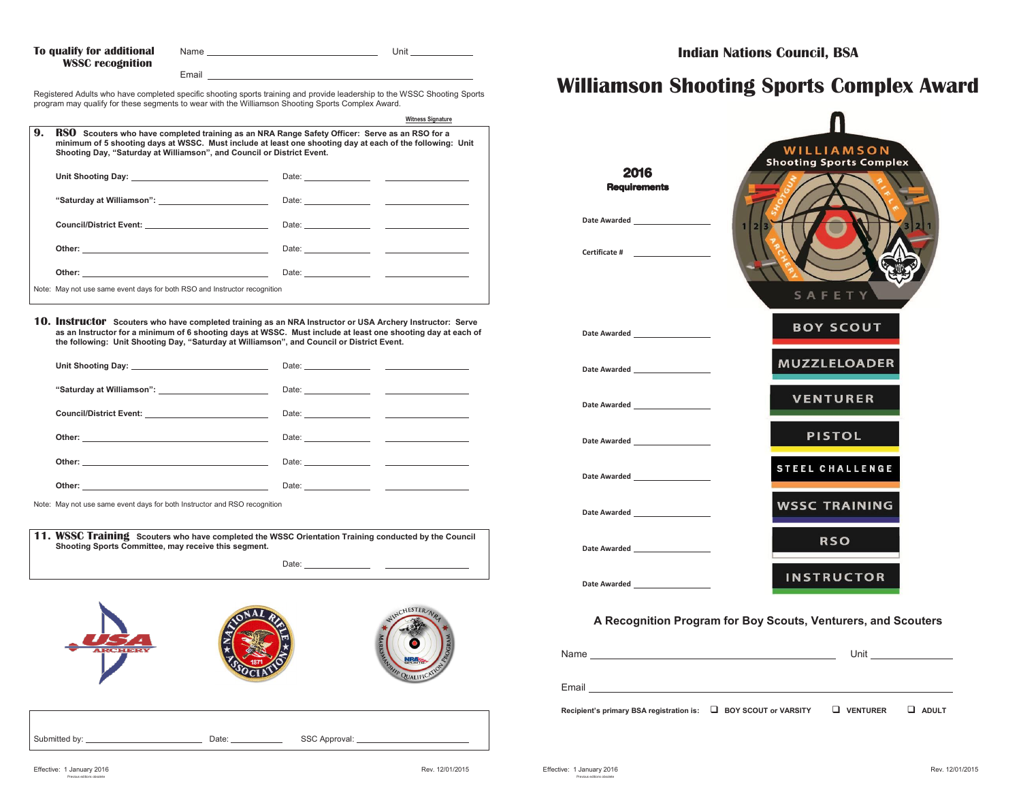| To qualify for additional | Name  | Unit |  |
|---------------------------|-------|------|--|
| <b>WSSC</b> recognition   |       |      |  |
|                           | Email |      |  |

Registered Adults who have completed specific shooting sports training and provide leadership to the WSSC Shooting Sports program may qualify for these segments to wear with the Williamson Shooting Sports Complex Award.

|    |                                                                                                                                                                                                                                                                                              | <b>Witness Signature</b> |  |
|----|----------------------------------------------------------------------------------------------------------------------------------------------------------------------------------------------------------------------------------------------------------------------------------------------|--------------------------|--|
| 9. | <b>RSO</b> Scouters who have completed training as an NRA Range Safety Officer: Serve as an RSO for a<br>minimum of 5 shooting days at WSSC. Must include at least one shooting day at each of the following: Unit<br>Shooting Day, "Saturday at Williamson", and Council or District Event. |                          |  |
|    |                                                                                                                                                                                                                                                                                              |                          |  |
|    |                                                                                                                                                                                                                                                                                              |                          |  |
|    | Council/District Event: _________________________________                                                                                                                                                                                                                                    |                          |  |
|    |                                                                                                                                                                                                                                                                                              |                          |  |
|    |                                                                                                                                                                                                                                                                                              |                          |  |
|    | Note: May not use same event days for both RSO and Instructor recognition                                                                                                                                                                                                                    |                          |  |

**10. Instructor Scouters who have completed training as an NRA Instructor or USA Archery Instructor: Serve as an Instructor for a minimum of 6 shooting days at WSSC. Must include at least one shooting day at each of the following: Unit Shooting Day, "Saturday at Williamson", and Council or District Event.**

| Council/District Event: ____________________________ |                                                                                                                                                                                                                                      |  |
|------------------------------------------------------|--------------------------------------------------------------------------------------------------------------------------------------------------------------------------------------------------------------------------------------|--|
|                                                      | Date: <u>Date: Experimental and the set of the set of the set of the set of the set of the set of the set of the set of the set of the set of the set of the set of the set of the set of the set of the set of the set of the s</u> |  |
|                                                      |                                                                                                                                                                                                                                      |  |
|                                                      |                                                                                                                                                                                                                                      |  |

Note: May not use same event days for both Instructor and RSO recognition

| 11. WSSC Training Scouters who have completed the WSSC Orientation Training conducted by the Council<br>Shooting Sports Committee, may receive this segment. |       |
|--------------------------------------------------------------------------------------------------------------------------------------------------------------|-------|
|                                                                                                                                                              | Date: |



| Submitted by: | Date <sup>-</sup> | SSC Approval: |
|---------------|-------------------|---------------|

## **Williamson Shooting Sports Complex Award**



## **A Recognition Program for Boy Scouts, Venturers, and Scouters**

| Name                                                            | Unit       | <u> Communication de la propincia de la propincia de la propincia de la propincia de la propincia de la propincia </u> |
|-----------------------------------------------------------------|------------|------------------------------------------------------------------------------------------------------------------------|
| Email                                                           |            |                                                                                                                        |
| Recipient's primary BSA registration is: □ BOY SCOUT or VARSITY | U VENTURER | ⊔<br><b>ADULT</b>                                                                                                      |